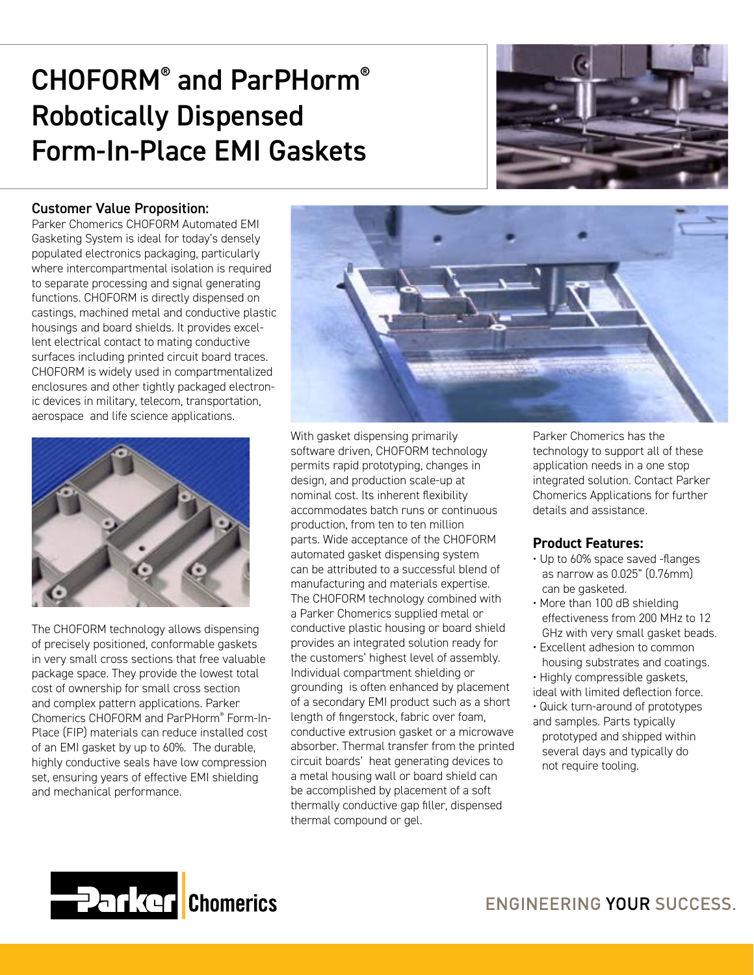# CHOFORM® and ParPHorm® Robotically Dispensed Form-In-Place EMI Gaskets



### Customer Value Proposition:

Parker Chomerics CHOFORM Automated EMI Gasketing System is ideal for today's densely populated electronics packaging, particularly where intercompartmental isolation is required to separate processing and signal generating functions. CHOFORM is directly dispensed on castings, machined metal and conductive plastic housings and board shields. It provides excellent electrical contact to mating conductive surfaces including printed circuit board traces. CHOFORM is widely used in compartmentalized enclosures and other tightly packaged electronic devices in military, telecom, transportation, aerospace and life science applications.



The CHOFORM technology allows dispensing of precisely positioned, conformable gaskets in very small cross sections that free valuable package space. They provide the lowest total cost of ownership for small cross section and complex pattern applications. Parker Chomerics CHOFORM and ParPHorm® Form-In-Place (FIP) materials can reduce installed cost of an EMI gasket by up to 60%. The durable, highly conductive seals have low compression set, ensuring years of effective EMI shielding and mechanical performance.



With gasket dispensing primarily software driven, CHOFORM technology permits rapid prototyping, changes in design, and production scale-up at nominal cost. Its inherent flexibility accommodates batch runs or continuous production, from ten to ten million parts. Wide acceptance of the CHOFORM automated gasket dispensing system can be attributed to a successful blend of manufacturing and materials expertise. The CHOFORM technology combined with a Parker Chomerics supplied metal or conductive plastic housing or board shield provides an integrated solution ready for the customers' highest level of assembly. Individual compartment shielding or grounding is often enhanced by placement of a secondary EMI product such as a short length of fingerstock, fabric over foam, conductive extrusion gasket or a microwave absorber. Thermal transfer from the printed circuit boards' heat generating devices to a metal housing wall or board shield can be accomplished by placement of a soft thermally conductive gap filler, dispensed thermal compound or gel.

Parker Chomerics has the technology to support all of these application needs in a one stop integrated solution. Contact Parker Chomerics Applications for further details and assistance.

### **Product Features:**

- Up to 60% space saved -flanges as narrow as 0.025" (0.76mm) can be gasketed.
- More than 100 dB shielding effectiveness from 200 MHz to 12 GHz with very small gasket beads.
- Excellent adhesion to common housing substrates and coatings.
- Highly compressible gaskets,

ideal with limited deflection force.

• Quick turn-around of prototypes and samples. Parts typically prototyped and shipped within several days and typically do not require tooling.

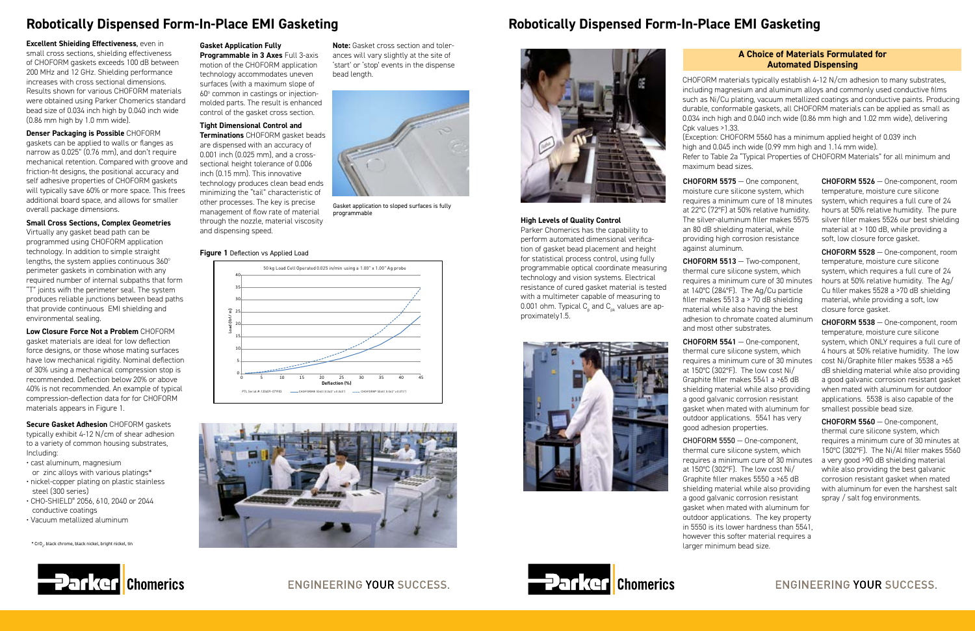**Excellent Shieiding Effectiveness**, even in small cross sections, shielding effectiveness of CHOFORM gaskets exceeds 100 dB between 200 MHz and 12 GHz. Shielding performance increases with cross sectional dimensions. Results shown for various CHOFORM materials were obtained using Parker Chomerics standard bead size of 0.034 inch high by 0.040 inch wide (0.86 mm high by 1.0 mm wide).

#### **Denser Packaging is Possible** CHOFORM gaskets can be applied to walls or flanges as narrow as 0.025" (0.76 mm), and don't require mechanical retention. Compared with groove and friction-fit designs, the positional accuracy and self adhesive properties of CHOFORM gaskets will typically save 60% or more space. This frees additional board space, and allows for smaller

overall package dimensions.

#### **Small Cross Sections, Complex Geometries** Virtually any gasket bead path can be

**Programmable in 3 Axes** Full 3-axis motion of the CHOFORM application technology accommodates uneven surfaces (with a maximum slope of 60° common in castings or injectionmolded parts. The result is enhanced control of the gasket cross section.

programmed using CHOFORM application technology. In addition to simple straight lengths, the system applies continuous 360° perimeter gaskets in combination with any required number of internal subpaths that form "T" joints wifh the perimeter seal. The system produces reliable junctions between bead paths that provide continuous EMI shielding and environmental sealing.

**Low Closure Force Not a Problem** CHOFORM gasket materials are ideal for low deflection force designs, or those whose mating surfaces have low mechanical rigidity. Nominal deflection of 30% using a mechanical compression stop is recommended. Deflection below 20% or above 40% is not recommended. An example of typical compression-deflection data for for CHOFORM materials appears in Figure 1.

#### **Gasket Application Fully**

## **Tight Dimensional Control and**

**Terminations** CHOFORM gasket beads are dispensed with an accuracy of 0.001 inch (0.025 mm), and a crosssectional height tolerance of 0.006 inch (0.15 mm). This innovative technology produces clean bead ends minimizing the "tail" characteristic of other processes. The key is precise management of flow rate of material through the nozzle, material viscosity and dispensing speed.

#### **Figure 1** Deflection vs Applied Load

#### **Note:** Gasket cross section and tolerances will vary slightly at the site of 'start' or 'stop' events in the dispense bead length.



Gasket application to sloped surfaces is fully programmable



# **Robotically Dispensed Form-In-Place EMI Gasketing**

#### **Secure Gasket Adhesion** CHOFORM gaskets

typically exhibit 4-12 N/cm of shear adhesion to a variety of common housing substrates, Including:

- cast aluminum, magnesium or zinc alloys with various platings\*
- nickel-copper plating on plastic stainless steel (300 series)
- CHO-SHIELD® 2056, 610, 2040 or 2044 conductive coatings
- Vacuum metallized aluminum

 $^*$  CrO $_{\scriptscriptstyle \cal A}$ , black chrome, black nickel, bright nickel, tin





## **High Levels of Quality Control**

Parker Chomerics has the capability to perform automated dimensional verification of gasket bead placement and height for statistical process control, using fully programmable optical coordinate measuring technology and vision systems. Electrical resistance of cured gasket material is tested with a multimeter capable of measuring to 0.001 ohm. Typical  $\mathsf{C}_{_{\sf{p}}}$  and  $\mathsf{C}_{_{\sf{pk}}}$  values are approximately1.5.



CHOFORM materials typically establish 4-12 N/cm adhesion to many substrates, including magnesium and aluminum alloys and commonly used conductive films such as Ni/Cu plating, vacuum metallized coatings and conductive paints. Producing durable, conformable gaskets, all CHOFORM materials can be applied as small as 0.034 inch high and 0.040 inch wide (0.86 mm high and 1.02 mm wide), delivering

# Cpk values >1.33.

(Exception: CHOFORM 5560 has a minimum applied height of 0.039 inch high and 0.045 inch wide (0.99 mm high and 1.14 mm wide).

Refer to Table 2a "Typical Properties of CHOFORM Materials" for all minimum and maximum bead sizes.

#### **A Choice of Materials Formulated for Automated Dispensing**

CHOFORM 5575 — One component, moisture cure silicone system, which requires a minimum cure of 18 minutes at 22°C (72°F) at 50% relative humidity. The silver-aluminum filler makes 5575 an 80 dB shielding material, while providing high corrosion resistance against aluminum.

CHOFORM 5513 — Two-component, thermal cure silicone system, which requires a minimum cure of 30 minutes at 140°C (284°F). The Ag/Cu particle filler makes 5513 a > 70 dB shielding material while also having the best adhesion to chromate coated aluminum and most other substrates.

CHOFORM 5541 — One-component, thermal cure silicone system, which requires a minimum cure of 30 minutes at 150°C (302°F). The low cost Ni/ Graphite filler makes 5541 a >65 dB shielding material while also providing a good galvanic corrosion resistant gasket when mated with aluminum for outdoor applications. 5541 has very good adhesion properties.

CHOFORM 5550 — One-component, thermal cure silicone system, which requires a minimum cure of 30 minutes a very good >90 dB shielding material at 150°C (302°F). The low cost Ni/ Graphite filler makes 5550 a >65 dB shielding material while also providing a good galvanic corrosion resistant gasket when mated with aluminum for outdoor applications. The key property in 5550 is its lower hardness than 5541, however this softer material requires a larger minimum bead size.



**ENGINEERING YOUR SUCCESS.** 



CHOFORM 5526 — One-component, room temperature, moisture cure silicone system, which requires a full cure of 24 hours at 50% relative humidity. The pure silver filler makes 5526 our best shielding material at > 100 dB, while providing a soft, low closure force gasket.

CHOFORM 5528 — One-component, room temperature, moisture cure silicone system, which requires a full cure of 24 hours at 50% relative humidity. The Ag/ Cu filler makes 5528 a >70 dB shielding material, while providing a soft, low closure force gasket.

CHOFORM 5538 — One-component, room temperature, moisture cure silicone system, which ONLY requires a full cure of 4 hours at 50% relative humidity. The low cost Ni/Graphite filler makes 5538 a >65 dB shielding material while also providing a good galvanic corrosion resistant gasket when mated with aluminum for outdoor applications. 5538 is also capable of the smallest possible bead size.

CHOFORM 5560 — One-component, thermal cure silicone system, which requires a minimum cure of 30 minutes at 150°C (302°F). The Ni/Al filler makes 5560 while also providing the best galvanic corrosion resistant gasket when mated with aluminum for even the harshest salt spray / salt fog environments.

## ENGINEERING YOUR SUCCESS.

# **Robotically Dispensed Form-In-Place EMI Gasketing**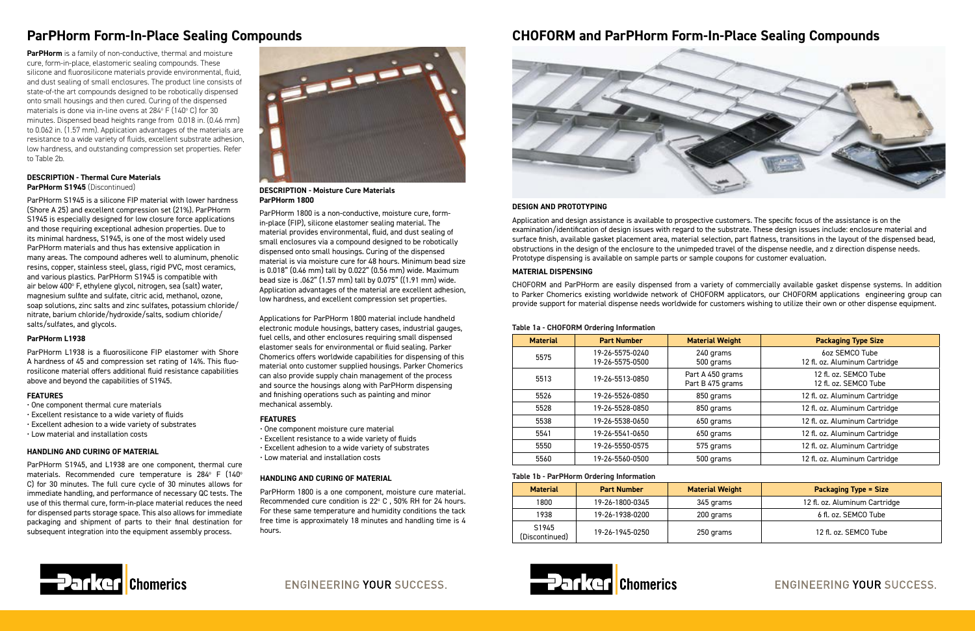# **ParPHorm Form-In-Place Sealing Compounds**

**ParPHorm** is a family of non-conductive, thermal and moisture cure, form-in-place, elastomeric sealing compounds. These silicone and fluorosilicone materials provide environmental, fluid, and dust sealing of small enclosures. The product line consists of state-of-the art compounds designed to be robotically dispensed onto small housings and then cured. Curing of the dispensed materials is done via in-line ovens at 284° F (140° C) for 30 minutes. Dispensed bead heights range from 0.018 in. (0.46 mm) to 0.062 in. (1.57 mm). Application advantages of the materials are resistance to a wide variety of fluids, excellent substrate adhesion, low hardness, and outstanding compression set properties. Refer to Table 2b.



**DESCRIPTION - Moisture Cure Materials ParPHorm 1800**

#### **DESCRIPTION - Thermal Cure Materials ParPHorm S1945** (Discontinued)

ParPHorm 1800 is a non-conductive, moisture cure, formin-place (FIP), silicone elastomer sealing material. The material provides environmental, fluid, and dust sealing of small enclosures via a compound designed to be robotically dispensed onto small housings. Curing of the dispensed material is via moisture cure for 48 hours. Minimum bead size is 0.018" (0.46 mm) tall by 0.022" (0.56 mm) wide. Maximum bead size is .062" (1.57 mm) tall by 0.075" ((1.91 mm) wide. Application advantages of the material are excellent adhesion, low hardness, and excellent compression set properties.

Applications for ParPHorm 1800 material include handheld electronic module housings, battery cases, industrial gauges, fuel cells, and other enclosures requiring small dispensed elastomer seals for environmental or fluid sealing. Parker Chomerics offers worldwide capabilities for dispensing of this material onto customer supplied housings. Parker Chomerics can also provide supply chain management of the process and source the housings along with ParPHorm dispensing and finishing operations such as painting and minor mechanical assembly.

#### **FEATURES**

- One component thermal cure materials
- Excellent resistance to a wide variety of fluids
- Excellent adhesion to a wide variety of substrates
- Low material and installation costs

ParPHorm S1945 is a silicone FIP material with lower hardness (Shore A 25) and excellent compression set (21%). ParPHorm S1945 is especially designed for low closure force applications and those requiring exceptional adhesion properties. Due to its minimal hardness, S1945, is one of the most widely used ParPHorm materials and thus has extensive application in many areas. The compound adheres well to aluminum, phenolic resins, copper, stainless steel, glass, rigid PVC, most ceramics, and various plastics. ParPHorm S1945 is compatible with air below 400° F, ethylene glycol, nitrogen, sea (salt) water, magnesium sulfite and sulfate, citric acid, methanol, ozone, soap solutions, zinc salts and zinc sulfates, potassium chloride/ nitrate, barium chloride/hydroxide/salts, sodium chloride/ salts/sulfates, and glycols.

#### **ParPHorm L1938**

ParPHorm L1938 is a fluorosilicone FIP elastomer with Shore A hardness of 45 and compression set rating of 14%. This fluorosilicone material offers additional fluid resistance capabilities above and beyond the capabilities of S1945.

#### **FEATURES**

- One component moisture cure material
- Excellent resistance to a wide variety of fluids
- Excellent adhesion to a wide variety of substrates
- Low material and installation costs

#### **HANDLING AND CURING OF MATERIAL**

ParPHorm S1945, and L1938 are one component, thermal cure materials. Recommended cure temperature is 284 $^{\circ}$  F (140 $^{\circ}$ C) for 30 minutes. The full cure cycle of 30 minutes allows for immediate handling, and performance of necessary QC tests. The use of this thermal cure, form-in-place material reduces the need for dispensed parts storage space. This also allows for immediate packaging and shipment of parts to their final destination for subsequent integration into the equipment assembly process.

#### **HANDLING AND CURING OF MATERIAL**

ParPHorm 1800 is a one component, moisture cure material. Recommended cure condition is  $22^{\circ}$  C, 50% RH for 24 hours. For these same temperature and humidity conditions the tack free time is approximately 18 minutes and handling time is 4 hours.

# **CHOFORM and ParPHorm Form-In-Place Sealing Compounds**



#### **DESIGN AND PROTOTYPING**

Application and design assistance is available to prospective customers. The specific focus of the assistance is on the examination/identification of design issues with regard to the substrate. These design issues include: enclosure material and surface finish, available gasket placement area, material selection, part flatness, transitions in the layout of the dispensed bead, obstructions in the design of the enclosure to the unimpeded travel of the dispense needle, and z direction dispense needs. Prototype dispensing is available on sample parts or sample coupons for customer evaluation.

#### **MATERIAL DISPENSING**

CHOFORM and ParPHorm are easily dispensed from a variety of commercially available gasket dispense systems. In addition to Parker Chomerics existing worldwide network of CHOFORM applicators, our CHOFORM applications engineering group can provide support for material dispense needs worldwide for customers wishing to utilize their own or other dispense equipment.

#### **Table 1b - ParPHorm Ordering Information**

| <b>Material</b>         | <b>Part Number</b> | <b>Material Weight</b> | <b>Packaging Type = Size</b>  |
|-------------------------|--------------------|------------------------|-------------------------------|
| 1800                    | 19-26-1800-0345    | 345 grams              | 12 fl. oz. Aluminum Cartridge |
| 1938                    | 19-26-1938-0200    | 200 grams              | 6 fl. oz. SEMCO Tube          |
| S1945<br>(Discontinued) | 19-26-1945-0250    | 250 grams              | 12 fl. oz. SEMCO Tube         |





ENGINEERING YOUR SUCCESS.

# ENGINEERING YOUR SUCCESS.

#### **Table 1a - CHOFORM Ordering Information**

| <b>Material</b> | <b>Part Number</b>                 | <b>Material Weight</b>               | <b>Packaging Type Size</b>                      |
|-----------------|------------------------------------|--------------------------------------|-------------------------------------------------|
| 5575            | 19-26-5575-0240<br>19-26-5575-0500 | 240 grams<br>500 grams               | 6oz SEMCO Tube<br>12 fl. oz. Aluminum Cartridge |
| 5513            | 19-26-5513-0850                    | Part A 450 grams<br>Part B 475 grams | 12 fl. oz. SEMCO Tube<br>12 fl. oz. SEMCO Tube  |
| 5526            | 19-26-5526-0850                    | 850 grams                            | 12 fl. oz. Aluminum Cartridge                   |
| 5528            | 19-26-5528-0850                    | 850 grams                            | 12 fl. oz. Aluminum Cartridge                   |
| 5538            | 19-26-5538-0650                    | 650 grams                            | 12 fl. oz. Aluminum Cartridge                   |
| 5541            | 19-26-5541-0650                    | 650 grams                            | 12 fl. oz. Aluminum Cartridge                   |
| 5550            | 19-26-5550-0575                    | 575 grams                            | 12 fl. oz. Aluminum Cartridge                   |
| 5560            | 19-26-5560-0500                    | 500 grams                            | 12 fl. oz. Aluminum Cartridge                   |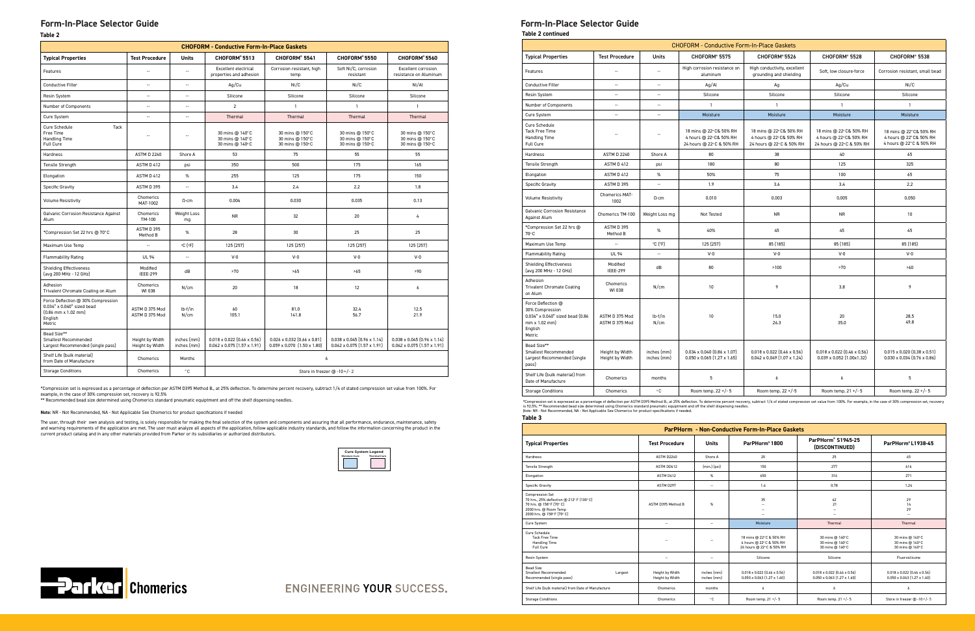**Table 2**

| <b>CHOFORM - Conductive Form-In-Place Gaskets</b>                                                                     |                                    |                            |                                                                                 |                                                                                 |                                                                          |                                                                          |
|-----------------------------------------------------------------------------------------------------------------------|------------------------------------|----------------------------|---------------------------------------------------------------------------------|---------------------------------------------------------------------------------|--------------------------------------------------------------------------|--------------------------------------------------------------------------|
| <b>Typical Properties</b>                                                                                             | <b>Test Procedure</b>              | <b>Units</b>               | CHOFORM®5513                                                                    | CHOFORM® 5541                                                                   | CHOFORM®5550                                                             | CHOFORM®5560                                                             |
| Features                                                                                                              |                                    | $\overline{\phantom{a}}$   | <b>Excellent electrical</b><br>properties and adhesion                          | Corrosion resistant, high<br>Soft Ni/C, corrosion<br>temp<br>resistant          |                                                                          | Excellent corrosion<br>resistance on Aluminum                            |
| <b>Conductive Filler</b>                                                                                              | $\overline{\phantom{a}}$           | $\overline{\phantom{a}}$   | Aq/Cu                                                                           | Ni/C                                                                            | Ni/C                                                                     | Ni/Al                                                                    |
| <b>Resin System</b>                                                                                                   | $\overline{a}$                     | $\overline{a}$             | Silicone                                                                        | Silicone                                                                        | Silicone                                                                 | Silicone                                                                 |
| Number of Components                                                                                                  | $\overline{a}$                     | $\overline{\phantom{a}}$   | $\overline{2}$                                                                  | $\mathbf{1}$                                                                    | $\mathbf{1}$                                                             | $\mathbf{1}$                                                             |
| Cure System                                                                                                           | $\overline{\phantom{a}}$           | $\overline{\phantom{a}}$   | Thermal                                                                         | Thermal                                                                         | Thermal                                                                  | Thermal                                                                  |
| Tack<br>Cure Schedule<br>Free Time<br>Handling Time<br>Full Cure                                                      | $\overline{\phantom{0}}$           |                            | 30 mins @ 140°C<br>30 mins @ 140°C<br>30 mins @ 140°C                           | 30 mins @ 150°C<br>30 mins @ 150°C<br>30 mins @ 150°C                           | 30 mins @ 150°C<br>30 mins @ 150°C<br>30 mins @ 150°C                    | 30 mins @ 150°C<br>30 mins @ 150°C<br>30 mins @ 150°C                    |
| Hardness                                                                                                              | <b>ASTM D 2240</b>                 | Shore A                    | 53                                                                              | 75                                                                              | 55                                                                       | 55                                                                       |
| <b>Tensile Strength</b>                                                                                               | ASTM D 412                         | psi                        | 350                                                                             | 500                                                                             | 175                                                                      | 165                                                                      |
| Elongation                                                                                                            | ASTM D 412                         | $\%$                       | 255                                                                             | 125                                                                             | 175                                                                      | 150                                                                      |
| Specific Gravity                                                                                                      | ASTM D 395                         | $\cdots$                   | 3.4                                                                             | 2.4                                                                             | 2.2                                                                      | 1.8                                                                      |
| <b>Volume Resistivity</b>                                                                                             | Chomerics<br>MAT-1002              | $\Omega$ -cm               | 0.004                                                                           | 0.030                                                                           | 0.035                                                                    | 0.13                                                                     |
| Galvanic Corrosion Resistance Against<br>Alum                                                                         | Chomerics<br>TM-100                | Weight Loss<br>mg          | <b>NR</b>                                                                       | 32                                                                              | 20                                                                       | 4                                                                        |
| *Compression Set 22 hrs @ 70°C                                                                                        | ASTM D 395<br>Method B             | %                          | 28                                                                              | 30                                                                              | 25                                                                       | 25                                                                       |
| Maximum Use Temp                                                                                                      | $\overline{a}$                     | $°C(^oF)$                  | 125 (257)                                                                       | 125 (257)                                                                       | 125 (257)                                                                | 125 (257)                                                                |
| <b>Flammability Rating</b>                                                                                            | <b>UL 94</b>                       | $\overline{\phantom{a}}$   | $V-0$                                                                           | $V-0$                                                                           | $V-0$                                                                    | $V-0$                                                                    |
| <b>Shielding Effectiveness</b><br>(avg 200 MHz - 12 GHz)                                                              | Modified<br><b>IEEE-299</b>        | dB                         | >70                                                                             | >65                                                                             | >65                                                                      | >90                                                                      |
| Adhesion<br>Trivalent Chromate Coating on Alum                                                                        | Chomerics<br>WI 038                | N/cm                       | 20                                                                              | 18                                                                              | 12                                                                       | 6                                                                        |
| Force Deflection @ 30% Compression<br>0.034" x 0.040" sized bead<br>$(0.86$ mm $\times$ 1.02 mm)<br>English<br>Metric | ASTM D 375 Mod<br>ASTM D 375 Mod   | lb-f/in<br>N/cm            | 60<br>105.1                                                                     | 81.0<br>141.8                                                                   | 32.4<br>56.7                                                             | 12.5<br>21.9                                                             |
| Bead Size**<br>Smallest Recommended<br>Largest Recommended (single pass)                                              | Height by Width<br>Height by Width | inches (mm)<br>inches (mm) | $0.018 \times 0.022$ (0.46 $\times$ 0.56)<br>$0.062 \times 0.075$ (1.57 x 1.91) | $0.026 \times 0.032$ (0.66 $\times$ 0.81)<br>$0.059 \times 0.070$ (1.50 x 1.80) | $0.038 \times 0.045$ (0.96 x 1.14)<br>$0.062 \times 0.075$ (1.57 x 1.91) | $0.038 \times 0.045$ (0.96 x 1.14)<br>$0.062 \times 0.075$ (1.57 x 1.91) |
| Shelf Life (bulk material)<br>from Date of Manufacture                                                                | Chomerics                          | Months                     | 6                                                                               |                                                                                 |                                                                          |                                                                          |
| <b>Storage Conditions</b>                                                                                             | Chomerics                          | ۰c                         | Store in freezer @ -10 +/-2                                                     |                                                                                 |                                                                          |                                                                          |

\*Compression set is expressed as a percentage of deflection per ASTM D395 Method B., at 25% deflection. To determine percent recovery, subtract 1/4 of stated compression set value from 100%. For example, in the case of 30% compression set, recovery is 92.5% \*\* Recommended bead size determined using Chomerics standard pneumatic equiptment and off the shelf dispensing needles.





ENGINEERING YOUR SUCCESS.

**Note:** NR - Not Recommended, NA - Not Applicable See Chomerics for product specifications if needed

The user, through their own analysis and testing, is solely responsible for making the final selection of the system and components and assuring that all performance, endurance, maintenance, safety and warning requirements of the application are met. The user must analyze all aspects of the application, follow applicable industry standards, and follow the information concerning the product in the<br>current product cata

| <b>CHOFORM - Conductive Form-In-Place Gaskets</b>                                                               |                                    |                            |                                                                                 |                                                                               |                                                                              |                                                                               |  |
|-----------------------------------------------------------------------------------------------------------------|------------------------------------|----------------------------|---------------------------------------------------------------------------------|-------------------------------------------------------------------------------|------------------------------------------------------------------------------|-------------------------------------------------------------------------------|--|
| <b>Typical Properties</b>                                                                                       | <b>Test Procedure</b>              | Units                      | CHOFORM® 5575                                                                   | CHOFORM® 5526                                                                 | CHOFORM® 5528                                                                | CHOFORM® 5538                                                                 |  |
| Features                                                                                                        | $\overline{a}$                     | $\overline{\phantom{a}}$   | High corrosion resistance on<br>aluminum                                        | High conductivity, excellent<br>grounding and shielding                       | Soft, low closure-force                                                      | Corrosion resistant, small bead                                               |  |
| <b>Conductive Filler</b>                                                                                        | --                                 | $\overline{\phantom{a}}$   | Ag/Al                                                                           | Ag                                                                            | Ag/Cu                                                                        | Ni/C                                                                          |  |
| <b>Resin System</b>                                                                                             | $\overline{\phantom{a}}$           | $\overline{\phantom{a}}$   | Silicone                                                                        | Silicone                                                                      | Silicone                                                                     | Silicone                                                                      |  |
| Number of Components                                                                                            | $\overline{\phantom{a}}$           | $\overline{\phantom{a}}$   | $\mathbf{1}$                                                                    | $\mathbf{1}$                                                                  | $\mathbf{1}$                                                                 | $\mathbf{1}$                                                                  |  |
| Cure System                                                                                                     | Ξ.                                 | $\overline{\phantom{a}}$   | Moisture                                                                        | Moisture                                                                      | Moisture                                                                     | Moisture                                                                      |  |
| Cure Schedule<br><b>Tack Free Time</b><br>Handling Time<br>Full Cure                                            | $\overline{a}$                     | ÷.                         | 18 mins @ 22°C& 50% RH<br>4 hours @ 22° C& 50% RH<br>24 hours @ 22°C & 50% RH   | 18 mins @ 22°C& 50% RH<br>4 hours @ 22° C& 50% RH<br>24 hours @ 22°C & 50% RH | 18 mins @ 22°C& 50% RH<br>4 hours @ 22°C& 50% RH<br>24 hours @ 22°C & 50% RH | 18 mins @ 22°C& 50% RH<br>4 hours @ 22° C& 50% RH<br>4 hours @ 22° C & 50% RH |  |
| <b>Hardness</b>                                                                                                 | <b>ASTM D 2240</b>                 | Shore A                    | 80                                                                              | 38                                                                            | 40                                                                           | 65                                                                            |  |
| <b>Tensile Strength</b>                                                                                         | ASTM D 412                         | psi                        | 180                                                                             | 80                                                                            | 125                                                                          | 325                                                                           |  |
| Elongation                                                                                                      | ASTM D 412                         | $\%$                       | 50%                                                                             | 75                                                                            | 100                                                                          | 65                                                                            |  |
| Specific Gravity                                                                                                | ASTM D 395                         | $\overline{\phantom{a}}$   | 1.9                                                                             | 3.6                                                                           | 3.4                                                                          | 2.2                                                                           |  |
| <b>Volume Resistivity</b>                                                                                       | Chomerics MAT-<br>1002             | $\Omega$ -cm               | 0.010                                                                           | 0.003                                                                         | 0.005                                                                        | 0.050                                                                         |  |
| <b>Galvanic Corrosion Resistance</b><br>Against Alum                                                            | Chomerics TM-100                   | Weight Loss mg             | Not Tested                                                                      | <b>NR</b>                                                                     | <b>NR</b>                                                                    | 10                                                                            |  |
| *Compression Set 22 hrs @<br>70°C                                                                               | ASTM D 395<br>Method B             | %                          | 40%                                                                             | 45                                                                            | 45                                                                           | 45                                                                            |  |
| Maximum Use Temp                                                                                                | Ξ.                                 | °C(PF)                     | 125 (257)                                                                       | 85 (185)                                                                      | 85 (185)                                                                     | 85 (185)                                                                      |  |
| <b>Flammability Rating</b>                                                                                      | <b>UL 94</b>                       | $\overline{a}$             | $V-0$                                                                           | $V-0$                                                                         | $V-0$                                                                        | $V-0$                                                                         |  |
| <b>Shielding Effectiveness</b><br>(avg 200 MHz - 12 GHz)                                                        | Modified<br><b>IEEE-299</b>        | dB                         | 80                                                                              | >100                                                                          | >70                                                                          | >60                                                                           |  |
| Adhesion<br><b>Trivalent Chromate Coating</b><br>on Alum                                                        | Chomerics<br>WI 038                | N/cm                       | 10                                                                              | 9                                                                             | 3.8                                                                          | 9                                                                             |  |
| Force Deflection @<br>30% Compression<br>0.034" x 0.040" sized bead (0.86<br>mm x 1.02 mm)<br>English<br>Metric | ASTM D 375 Mod<br>ASTM D 375 Mod   | lb-f/in<br>N/cm            | 10                                                                              | 15.0<br>26.3                                                                  | 20<br>35.0                                                                   | 28.5<br>49.8                                                                  |  |
| Bead Size**<br>Smallest Recommended<br>Largest Recommended (single<br>pass)                                     | Height by Width<br>Height by Width | inches (mm)<br>inches (mm) | $0.034 \times 0.040$ $(0.86 \times 1.07)$<br>$0.050 \times 0.065$ (1.27 x 1.65) | $0.018 \times 0.022$ (0.46 x 0.56)<br>$0.042 \times 0.049$ (1.07 x 1.24)      | $0.018 \times 0.022$ (0.46 x 0.56)<br>$0.039 \times 0.052$ (1.00x1.32)       | $0.015 \times 0.020$ (0.38 x 0.51)<br>$0.030 \times 0.034$ (0.76 x 0.86)      |  |
| Shelf Life (bulk material) from<br>Date of Manufacture                                                          | Chomerics                          | months                     | 5                                                                               | 6                                                                             | 6                                                                            | 5                                                                             |  |
| <b>Storage Conditions</b>                                                                                       | Chomerics                          | $^{\circ}$ C               | Room temp. 22 +/- 5                                                             | Room temp. 22 +/-5                                                            | Room temp. 21 +/- 5                                                          | Room temp. 22 +/- 5                                                           |  |

\*Compression set is expressed as a percentage of deflection per ASTM D395 Method B., at 25% deflection. To determine percent recovery, subtract 1/4 of stated compression set value from 100%. For example, in the case of 30%

#### **Table 3**

| <b>ParPHorm - Non-Conductive Form-In-Place Gaskets</b>                                                                                                 |                                    |                            |                                                                                  |                                                                          |                                                                                 |  |
|--------------------------------------------------------------------------------------------------------------------------------------------------------|------------------------------------|----------------------------|----------------------------------------------------------------------------------|--------------------------------------------------------------------------|---------------------------------------------------------------------------------|--|
| <b>Typical Properties</b>                                                                                                                              | <b>Test Procedure</b>              | <b>Units</b>               | ParPHorm®1800                                                                    | ParPHorm® S1945-25<br>(DISCONTINUED)                                     | ParPHorm®L1938-45                                                               |  |
| Hardness                                                                                                                                               | ASTM D2240                         | Shore A                    | 20                                                                               | 25                                                                       | 45                                                                              |  |
| <b>Tensile Strength</b>                                                                                                                                | ASTM DD412                         | $(min.)$ (psi)             | 150                                                                              | 277                                                                      | 616                                                                             |  |
| Elongation                                                                                                                                             | ASTM D412                          | %                          | 650                                                                              | 316                                                                      | 271                                                                             |  |
| Specific Gravity                                                                                                                                       | ASTM D297                          | $\sim$                     | 1.4                                                                              | 0.78                                                                     | 1.24                                                                            |  |
| <b>Compression Set</b><br>70 hrs., 25% deflection @ 212° F (100° C)<br>70 hrs. @ 158° F (70° C)<br>2000 hrs. @ Room Temp<br>2000 hrs. @ 158° F (70° C) | ASTM D395 Method B                 | %                          | 35<br>$\sim$                                                                     | 42<br>21<br>$\overline{a}$<br>$\overline{a}$                             | 29<br>14<br>29<br>$\sim$                                                        |  |
| Cure System                                                                                                                                            | $\sim$                             | $\sim$                     | Moisture                                                                         | Thermal                                                                  | Thermal                                                                         |  |
| Cure Schedule<br><b>Tack Free Time</b><br>Handling Time<br>Full Cure                                                                                   | $\sim$                             | $\sim$                     | 18 mins @ 22°C & 50% RH<br>4 hours @ 22° C & 50% RH<br>24 hours @ 22° C & 50% RH | 30 mins @ 140°C<br>30 mins @ 140°C<br>30 mins @ 140°C                    | 30 mins @ 140°C<br>30 mins @ 140°C<br>30 mins @ 140°C                           |  |
| Resin System                                                                                                                                           | $\overline{\phantom{a}}$           | $\sim$                     | Silicone                                                                         | Silicone                                                                 | Fluorosilicone                                                                  |  |
| <b>Bead Size</b><br>Smallest Recommended<br>Largest<br>Recommended (single pass)                                                                       | Height by Width<br>Height by Width | inches (mm)<br>inches (mm) | $0.018 \times 0.022$ (0.46 $\times$ 0.56)<br>$0.050 \times 0.063$ (1.27 x 1.60)  | $0.018 \times 0.022$ (0.46 x 0.56)<br>$0.050 \times 0.063$ (1.27 x 1.60) | $0.018 \times 0.022$ (0.46 $\times$ 0.56)<br>$0.050 \times 0.063$ (1.27 x 1.60) |  |
| Shelf Life (bulk material) from Date of Manufacture                                                                                                    | Chomerics                          | months                     | 4                                                                                | $\ddot{\delta}$                                                          | $\overline{6}$                                                                  |  |
| <b>Storage Conditions</b>                                                                                                                              | Chomerics                          | ۰c                         | Room temp. 21 +/- 5                                                              | Room temp. $21 +/- 5$                                                    | Store in freezer @ -10+/-5                                                      |  |

## **Form-In-Place Selector Guide Form-In-Place Selector Guide**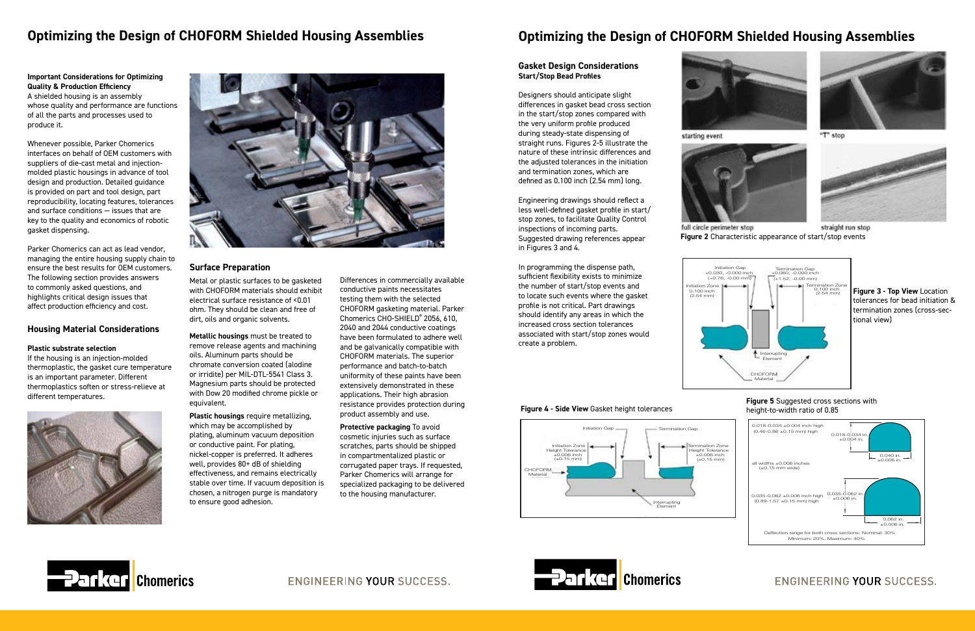**Important Considerations for Optimizing Quality & Production Efficiency**  A shielded housing is an assembly whose quality and performance are functions of all the parts and processes used to produce it.

Whenever possible, Parker Chomerics interfaces on behalf of OEM customers with suppliers of die-cast metal and injectionmolded plastic housings in advance of tool design and production. Detailed guidance is provided on part and tool design, part reproducibility, locating features, tolerances and surface conditions — issues that are key to the quality and economics of robotic gasket dispensing.

Parker Chomerics can act as lead vendor, managing the entire housing supply chain to ensure the best results for OEM customers. The following section provides answers to commonly asked questions, and highlights critical design issues that affect production efficiency and cost.

#### **Housing Material Considerations**

#### **Plastic substrate selection**

If the housing is an injection-molded thermoplastic, the gasket cure temperature is an important parameter. Different thermoplastics soften or stress-relieve at different temperatures.





**Metallic housings** must be treated to remove release agents and machining oils. Aluminum parts should be chromate conversion coated (alodine or irridite) per MIL-DTL-5541 Class 3. Magnesium parts should be protected with Dow 20 modified chrome pickle or equivalent.

**Plastic housings** require metallizing, which may be accomplished by plating, aluminum vacuum deposition or conductive paint. For plating, nickel-copper is preferred. It adheres well, provides 80+ dB of shielding effectiveness, and remains electrically stable over time. If vacuum deposition is chosen, a nitrogen purge is mandatory to ensure good adhesion.



full circle perimeter stop straight run stop **Figure 2** Characteristic appearance of start/stop events

Differences in commercially available conductive paints necessitates testing them with the selected CHOFORM gasketing material. Parker Chomerics CHO-SHIELD® 2056, 610, 2040 and 2044 conductive coatings have been formulated to adhere well and be galvanically compatible with CHOFORM materials. The superior performance and batch-to-batch uniformity of these paints have been extensively demonstrated in these applications. Their high abrasion resistance provides protection during product assembly and use.

**Protective packaging** To avoid cosmetic injuries such as surface scratches, parts should be shipped in compartmentalized plastic or corrugated paper trays. If requested, Parker Chomerics will arrange for specialized packaging to be delivered to the housing manufacturer.

# **Optimizing the Design of CHOFORM Shielded Housing Assemblies**

#### **Surface Preparation**

Metal or plastic surfaces to be gasketed with CHOFORM materials should exhibit electrical surface resistance of <0.01 ohm. They should be clean and free of dirt, oils and organic solvents.

# **Optimizing the Design of CHOFORM Shielded Housing Assemblies**

#### **Gasket Design Considerations Start/Stop Bead Profiles**

Designers should anticipate slight differences in gasket bead cross section in the start/stop zones compared with the very uniform profile produced during steady-state dispensing of straight runs. Figures 2-5 illustrate the nature of these intrinsic differences and the adjusted tolerances in the initiation and termination zones, which are defined as 0.100 inch (2.54 mm) long.

Engineering drawings should reflect a less well-defined gasket profile in start/ stop zones, to facilitate Quality Control inspections of incoming parts. Suggested drawing references appear in Figures 3 and 4.

In programming the dispense path, sufficient flexibility exists to minimize the number of start/stop events and to locate such events where the gasket profile is not critical. Part drawings should identify any areas in which the increased cross section tolerances associated with start/stop zones would create a problem.



#### **Figure 5** Suggested cross sections with height-to-width ratio of 0.85

# **ENGINEERING YOUR SUCCESS.**



**Figure 3 - Top View** Location tolerances for bead initiation & termination zones (cross-sectional view)





**ENGINEERING YOUR SUCCESS.** 





starting event





"T" stop